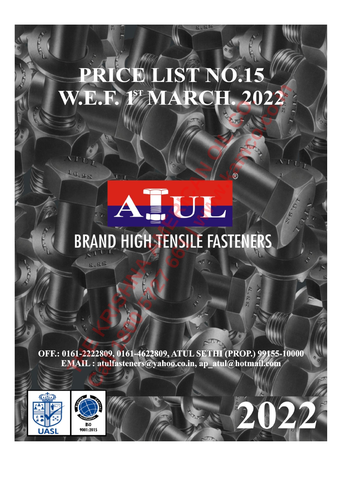# **THE KRISH SPAND HIGH TENSILE FASTENE E.F. 19 MARCH. 2022**<br>
MAND HIGH JENSILE FASTENERS



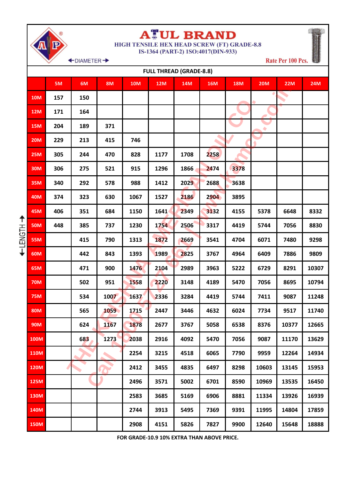

### **ATUL BRAND**

**HIGH TENSILE HEX HEAD SCREW (FT) GRADE-8.8** IS-1364 (PART-2) 1SO:4017(DIN-933)

Rate Per 100 Pcs.

← DIAMETER →

|                | <b>FULL THREAD (GRADE-8.8)</b> |     |     |           |            |            |            |            |            |            |            |            |  |
|----------------|--------------------------------|-----|-----|-----------|------------|------------|------------|------------|------------|------------|------------|------------|--|
|                |                                | 5M  | 6M  | <b>8M</b> | <b>10M</b> | <b>12M</b> | <b>14M</b> | <b>16M</b> | <b>18M</b> | <b>20M</b> | <b>22M</b> | <b>24M</b> |  |
|                | <b>10M</b>                     | 157 | 150 |           |            |            |            |            |            |            |            |            |  |
|                | <b>12M</b>                     | 171 | 164 |           |            |            |            |            |            |            |            |            |  |
|                | <b>15M</b>                     | 204 | 189 | 371       |            |            |            |            |            | ۰          |            |            |  |
|                | <b>20M</b>                     | 229 | 213 | 415       | 746        |            |            |            |            |            |            |            |  |
|                | <b>25M</b>                     | 305 | 244 | 470       | 828        | 1177       | 1708       | 2258       |            |            |            |            |  |
|                | <b>30M</b>                     | 306 | 275 | 521       | 915        | 1296       | 1866       | 2474       | 3378       |            |            |            |  |
|                | <b>35M</b>                     | 340 | 292 | 578       | 988        | 1412       | 2029       | 2688       | 3638       |            |            |            |  |
|                | <b>40M</b>                     | 374 | 323 | 630       | 1067       | 1527       | 2186       | 2904       | 3895       |            |            |            |  |
|                | 45M                            | 406 | 351 | 684       | 1150       | 1641       | 2349       | 3132       | 4155       | 5378       | 6648       | 8332       |  |
| ↟              | <b>50M</b>                     | 448 | 385 | 737       | 1230       | 1754       | 2506       | 3317       | 4419       | 5744       | 7056       | 8830       |  |
| <b>HISMSTH</b> | <b>55M</b>                     |     | 415 | 790       | 1313       | 1872       | 2669       | 3541       | 4704       | 6071       | 7480       | 9298       |  |
|                | <b>60M</b>                     |     | 442 | 843       | 1393       | 1989       | 2825       | 3767       | 4964       | 6409       | 7886       | 9809       |  |
|                | 65M                            |     | 471 | 900       | 1476       | 2104       | 2989       | 3963       | 5222       | 6729       | 8291       | 10307      |  |
|                | <b>70M</b>                     |     | 502 | 951       | 1558       | 2220       | 3148       | 4189       | 5470       | 7056       | 8695       | 10794      |  |
|                | <b>75M</b>                     |     | 534 | 1007      | 1637       | 2336       | 3284       | 4419       | 5744       | 7411       | 9087       | 11248      |  |
|                | <b>80M</b>                     |     | 565 | 1059      | 1715       | 2447       | 3446       | 4632       | 6024       | 7734       | 9517       | 11740      |  |
|                | <b>90M</b>                     |     | 624 | 1167      | 1878       | 2677       | 3767       | 5058       | 6538       | 8376       | 10377      | 12665      |  |
|                | <b>100M</b>                    |     | 683 | 1273      | 2038       | 2916       | 4092       | 5470       | 7056       | 9087       | 11170      | 13629      |  |
|                | <b>110M</b>                    |     |     |           | 2254       | 3215       | 4518       | 6065       | 7790       | 9959       | 12264      | 14934      |  |
|                | <b>120M</b>                    |     |     |           | 2412       | 3455       | 4835       | 6497       | 8298       | 10603      | 13145      | 15953      |  |
|                | 125M                           |     |     |           | 2496       | 3571       | 5002       | 6701       | 8590       | 10969      | 13535      | 16450      |  |
|                | <b>130M</b>                    |     |     |           | 2583       | 3685       | 5169       | 6906       | 8881       | 11334      | 13926      | 16939      |  |
|                | 140M                           |     |     |           | 2744       | 3913       | 5495       | 7369       | 9391       | 11995      | 14804      | 17859      |  |
|                | <b>150M</b>                    |     |     |           | 2908       | 4151       | 5826       | 7827       | 9900       | 12640      | 15648      | 18888      |  |

**FOR GRADE-10.9 10% EXTRA THAN ABOVE PRICE.**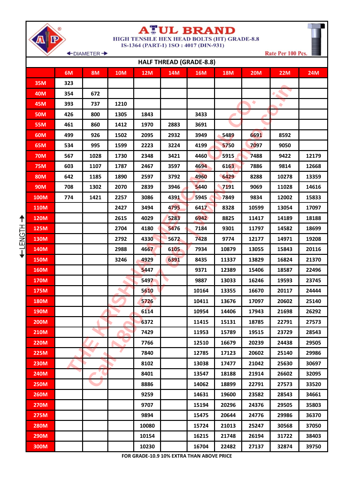|             |     | +DIAMETER + |            |            |            |                                |            |            | Rate Per 100 Pcs. |            |
|-------------|-----|-------------|------------|------------|------------|--------------------------------|------------|------------|-------------------|------------|
|             |     |             |            |            |            | <b>HALF THREAD (GRADE-8.8)</b> |            |            |                   |            |
|             | 6M  | <b>8M</b>   | <b>10M</b> | <b>12M</b> | <b>14M</b> | <b>16M</b>                     | <b>18M</b> | <b>20M</b> | <b>22M</b>        | <b>24M</b> |
| <b>35M</b>  | 323 |             |            |            |            |                                |            |            |                   |            |
| <b>40M</b>  | 354 | 672         |            |            |            |                                |            |            |                   |            |
| <b>45M</b>  | 393 | 737         | 1210       |            |            |                                |            | ۰          | ٠                 |            |
| <b>50M</b>  | 426 | 800         | 1305       | 1843       |            | 3433                           |            |            |                   |            |
| <b>55M</b>  | 461 | 860         | 1412       | 1970       | 2883       | 3691                           |            |            |                   |            |
| <b>60M</b>  | 499 | 926         | 1502       | 2095       | 2932       | 3949                           | 5489       | 6691       | 8592              |            |
| 65M         | 534 | 995         | 1599       | 2223       | 3224       | 4199                           | 5750       | 7097       | 9050              |            |
| <b>70M</b>  | 567 | 1028        | 1730       | 2348       | 3421       | 4460                           | 5915       | 7488       | 9422              | 12179      |
| <b>75M</b>  | 603 | 1107        | 1787       | 2467       | 3597       | 4694                           | 6163       | 7886       | 9814              | 12668      |
| <b>80M</b>  | 642 | 1185        | 1890       | 2597       | 3792       | 4960                           | 6429       | 8288       | 10278             | 13359      |
| <b>90M</b>  | 708 | 1302        | 2070       | 2839       | 3946       | 5440                           | 7191       | 9069       | 11028             | 14616      |
| <b>100M</b> | 774 | 1421        | 2257       | 3086       | 4391       | 5945                           | 7849       | 9834       | 12002             | 15833      |
| <b>110M</b> |     |             | 2427       | 3494       | 4795       | 6417                           | 8328       | 10599      | 13054             | 17097      |
| <b>120M</b> |     |             | 2615       | 4029       | 5283       | 6942                           | 8825       | 11417      | 14189             | 18188      |
| 125M        |     |             | 2704       | 4180       | 5476       | 7184                           | 9301       | 11797      | 14582             | 18699      |
| 130M        |     |             | 2792       | 4330       | 5672       | 7428                           | 9774       | 12177      | 14971             | 19208      |
| 140M        |     |             | 2988       | 4667       | 6105       | 7934                           | 10879      | 13055      | 15843             | 20116      |
| <b>150M</b> |     |             | 3246       | 4929       | 6391       | 8435                           | 11337      | 13829      | 16824             | 21370      |
| <b>160M</b> |     |             |            | 5447       |            | 9371                           | 12389      | 15406      | 18587             | 22496      |
| <b>170M</b> |     |             |            | 5497       |            | 9887                           | 13033      | 16246      | 19593             | 23745      |
| 175M        |     |             |            | 5610       |            | 10164                          | 13355      | 16670      | 20117             | 24444      |
| <b>180M</b> |     |             |            | 5726       |            | 10411                          | 13676      | 17097      | 20602             | 25140      |
| <b>190M</b> |     |             |            | 6114       |            | 10954                          | 14406      | 17943      | 21698             | 26292      |
| <b>200M</b> |     |             |            | 6372       |            | 11415                          | 15131      | 18785      | 22791             | 27573      |
| <b>210M</b> |     |             |            | 7429       |            | 11953                          | 15789      | 19515      | 23729             | 28543      |
| <b>220M</b> |     |             |            | 7766       |            | 12510                          | 16679      | 20239      | 24438             | 29505      |
| <b>225M</b> |     |             |            | 7840       |            | 12785                          | 17123      | 20602      | 25140             | 29986      |
| <b>230M</b> |     |             |            | 8102       |            | 13038                          | 17477      | 21042      | 25630             | 30697      |
| <b>240M</b> |     |             |            | 8401       |            | 13547                          | 18188      | 21914      | 26602             | 32095      |
| <b>250M</b> |     |             |            | 8886       |            | 14062                          | 18899      | 22791      | 27573             | 33520      |
| <b>260M</b> |     |             |            | 9259       |            | 14631                          | 19600      | 23582      | 28543             | 34661      |
| <b>270M</b> |     |             |            | 9707       |            | 15194                          | 20296      | 24376      | 29505             | 35803      |
| <b>275M</b> |     |             |            | 9894       |            | 15475                          | 20644      | 24776      | 29986             | 36370      |
| <b>280M</b> |     |             |            | 10080      |            | 15724                          | 21013      | 25247      | 30568             | 37050      |
| <b>290M</b> |     |             |            | 10154      |            | 16215                          | 21748      | 26194      | 31722             | 38403      |
| 300M        |     |             |            | 10230      |            | 16704                          | 22482      | 27137      | 32874             | 39750      |

**TUL BRAND** 

HIGH TENSILE HEX HEAD BOLTS (HT) GRADE-8.8

IS-1364 (PART-1) 1SO: 4017 (DIN-931)

А

+LENGTH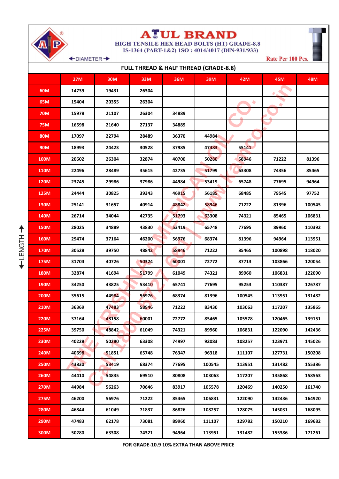

+LENGTH

### **ATUL BRAND**<br>HIGH TENSILE HEX HEAD BOLTS (HT) GRADE-8.8

IS-1364 (PART-1&2) 1SO: 4014/4017 (DIN-931/933)

+DIAMETER +

Rate Per 100 Pcs.

| <b>FULL THREAD &amp; HALF THREAD (GRADE-8.8)</b> |            |       |       |       |        |        |        |        |  |  |  |
|--------------------------------------------------|------------|-------|-------|-------|--------|--------|--------|--------|--|--|--|
|                                                  | <b>27M</b> | 30M   | 33M   | 36M   | 39M    | 42M    | 45M    | 48M    |  |  |  |
| 60M                                              | 14739      | 19431 | 26304 |       |        |        |        |        |  |  |  |
| 65M                                              | 15404      | 20355 | 26304 |       |        | ۰      |        |        |  |  |  |
| <b>70M</b>                                       | 15978      | 21107 | 26304 | 34889 |        |        |        |        |  |  |  |
| <b>75M</b>                                       | 16598      | 21640 | 27137 | 34889 |        |        |        |        |  |  |  |
| 80M                                              | 17097      | 22794 | 28489 | 36370 | 44984  |        |        |        |  |  |  |
| 90M                                              | 18993      | 24423 | 30528 | 37985 | 47483  | 55141  |        |        |  |  |  |
| 100M                                             | 20602      | 26304 | 32874 | 40700 | 50280  | 58946  | 71222  | 81396  |  |  |  |
| 110M                                             | 22496      | 28489 | 35615 | 42735 | 51799  | 63308  | 74356  | 85465  |  |  |  |
| <b>120M</b>                                      | 23745      | 29986 | 37986 | 44984 | 53419  | 65748  | 77695  | 94964  |  |  |  |
| 125M                                             | 24444      | 30825 | 39343 | 46915 | 56185  | 68485  | 79545  | 97752  |  |  |  |
| 130M                                             | 25141      | 31657 | 40914 | 48842 | 58946  | 71222  | 81396  | 100545 |  |  |  |
| 140M                                             | 26714      | 34044 | 42735 | 51793 | 63308  | 74321  | 85465  | 106831 |  |  |  |
| <b>150M</b>                                      | 28025      | 34889 | 43830 | 53419 | 65748  | 77695  | 89960  | 110392 |  |  |  |
| 160M                                             | 29474      | 37164 | 46200 | 56976 | 68374  | 81396  | 94964  | 113951 |  |  |  |
| <b>170M</b>                                      | 30528      | 39750 | 48842 | 58946 | 71222  | 85465  | 100898 | 118020 |  |  |  |
| 175M                                             | 31704      | 40726 | 50324 | 60001 | 72772  | 87713  | 103866 | 120054 |  |  |  |
| <b>180M</b>                                      | 32874      | 41694 | 51799 | 61049 | 74321  | 89960  | 106831 | 122090 |  |  |  |
| 190M                                             | 34250      | 43825 | 53410 | 65741 | 77695  | 95253  | 110387 | 126787 |  |  |  |
| <b>200M</b>                                      | 35615      | 44984 | 56976 | 68374 | 81396  | 100545 | 113951 | 131482 |  |  |  |
| <b>210M</b>                                      | 36369      | 47483 | 58946 | 71222 | 83430  | 103063 | 117207 | 135865 |  |  |  |
| <b>220M</b>                                      | 37164      | 48158 | 60001 | 72772 | 85465  | 105578 | 120465 | 139151 |  |  |  |
| 225M                                             | 39750      | 48842 | 61049 | 74321 | 89960  | 106831 | 122090 | 142436 |  |  |  |
| 230M                                             | 40228      | 50280 | 63308 | 74997 | 92083  | 108257 | 123971 | 145026 |  |  |  |
| 240M                                             | 40698      | 51851 | 65748 | 76347 | 96318  | 111107 | 127731 | 150208 |  |  |  |
| <b>250M</b>                                      | 43830      | 53419 | 68374 | 77695 | 100545 | 113951 | 131482 | 155386 |  |  |  |
| <b>260M</b>                                      | 44410      | 54835 | 69510 | 80808 | 103063 | 117207 | 135868 | 158563 |  |  |  |
| <b>270M</b>                                      | 44984      | 56263 | 70646 | 83917 | 105578 | 120469 | 140250 | 161740 |  |  |  |
| 275M                                             | 46200      | 56976 | 71222 | 85465 | 106831 | 122090 | 142436 | 164920 |  |  |  |
| <b>280M</b>                                      | 46844      | 61049 | 71837 | 86826 | 108257 | 128075 | 145031 | 168095 |  |  |  |
| 290M                                             | 47483      | 62178 | 73081 | 89960 | 111107 | 129782 | 150210 | 169682 |  |  |  |
| 300M                                             | 50280      | 63308 | 74321 | 94964 | 113951 | 131482 | 155386 | 171261 |  |  |  |

FOR GRADE-10.9 10% EXTRA THAN ABOVE PRICE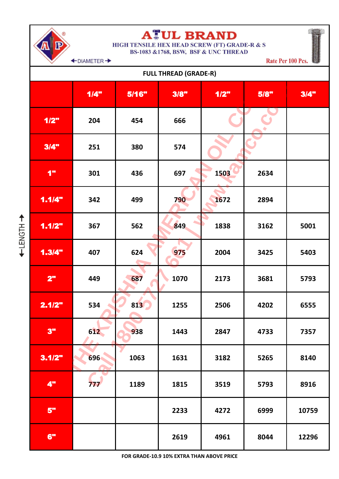

### **ATUL BRAND**

HIGH TENSILE HEX HEAD SCREW (FT) GRADE-R & S **BS-1083 &1768, BSW, BSF & UNC THREAD** 

← DIAMETER →

Rate Per 100 Pcs.

| <b>FULL THREAD (GRADE-R)</b> |      |       |      |      |      |       |  |  |  |  |  |  |
|------------------------------|------|-------|------|------|------|-------|--|--|--|--|--|--|
|                              | 1/4" | 5/16" | 3/8" | 1/2" | 5/8" | 3/4"  |  |  |  |  |  |  |
| 1/2"                         | 204  | 454   | 666  |      |      |       |  |  |  |  |  |  |
| 3/4"                         | 251  | 380   | 574  |      |      |       |  |  |  |  |  |  |
| 1"                           | 301  | 436   | 697  | 1503 | 2634 |       |  |  |  |  |  |  |
| 1.1/4"                       | 342  | 499   | 790  | 1672 | 2894 |       |  |  |  |  |  |  |
| 1.1/2"                       | 367  | 562   | 849  | 1838 | 3162 | 5001  |  |  |  |  |  |  |
| 1.3/4"                       | 407  | 624   | 975  | 2004 | 3425 | 5403  |  |  |  |  |  |  |
| 2"                           | 449  | 687   | 1070 | 2173 | 3681 | 5793  |  |  |  |  |  |  |
| 2.1/2"                       | 534  | 813   | 1255 | 2506 | 4202 | 6555  |  |  |  |  |  |  |
| 3"                           | 612  | 938   | 1443 | 2847 | 4733 | 7357  |  |  |  |  |  |  |
| 3.1/2"                       | 696  | 1063  | 1631 | 3182 | 5265 | 8140  |  |  |  |  |  |  |
| 4"                           | 777  | 1189  | 1815 | 3519 | 5793 | 8916  |  |  |  |  |  |  |
| 5"                           |      |       | 2233 | 4272 | 6999 | 10759 |  |  |  |  |  |  |
| 6"                           |      |       | 2619 | 4961 | 8044 | 12296 |  |  |  |  |  |  |

FOR GRADE-10.9 10% EXTRA THAN ABOVE PRICE

←HONGTH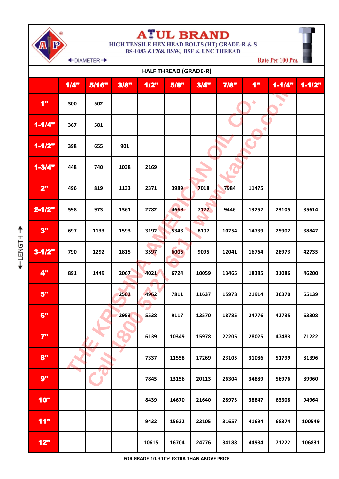# **ATUL BRAND**<br>HIGH TENSILE HEX HEAD BOLTS (HT) GRADE-R & S<br>BS-1083 &1768, BSW, BSF & UNC THREAD

Rate Per 100 Pcs.

+DIAMETER +

| <b>HALF THREAD (GRADE-R)</b> |      |       |      |       |       |       |       |       |            |            |  |
|------------------------------|------|-------|------|-------|-------|-------|-------|-------|------------|------------|--|
|                              | 1/4" | 5/16" | 3/8" | 1/2"  | 5/8"  | 3/4"  | 7/8"  | 1"    | $1 - 1/4"$ | $1 - 1/2"$ |  |
| 1"                           | 300  | 502   |      |       |       |       |       | ۰     |            |            |  |
| $1 - 1/4"$                   | 367  | 581   |      |       |       |       |       |       |            |            |  |
| $1 - 1/2"$                   | 398  | 655   | 901  |       |       |       |       | 3     |            |            |  |
| $1 - 3/4"$                   | 448  | 740   | 1038 | 2169  |       |       |       |       |            |            |  |
| 2"                           | 496  | 819   | 1133 | 2371  | 3989  | 7018  | 7984  | 11475 |            |            |  |
| $2 - 1/2"$                   | 598  | 973   | 1361 | 2782  | 4669  | 7127  | 9446  | 13252 | 23105      | 35614      |  |
| 3"                           | 697  | 1133  | 1593 | 3192  | 5343  | 8107  | 10754 | 14739 | 25902      | 38847      |  |
| $3 - 1/2"$                   | 790  | 1292  | 1815 | 3597  | 6006  | 9095  | 12041 | 16764 | 28973      | 42735      |  |
| 4"                           | 891  | 1449  | 2067 | 4021  | 6724  | 10059 | 13465 | 18385 | 31086      | 46200      |  |
| 5"                           |      |       | 2502 | 4962  | 7811  | 11637 | 15978 | 21914 | 36370      | 55139      |  |
| 6"                           |      |       | 2953 | 5538  | 9117  | 13570 | 18785 | 24776 | 42735      | 63308      |  |
| 7"                           |      |       |      | 6139  | 10349 | 15978 | 22205 | 28025 | 47483      | 71222      |  |
| 8"                           |      |       |      | 7337  | 11558 | 17269 | 23105 | 31086 | 51799      | 81396      |  |
| 9"                           |      |       |      | 7845  | 13156 | 20113 | 26304 | 34889 | 56976      | 89960      |  |
| 10"                          |      |       |      | 8439  | 14670 | 21640 | 28973 | 38847 | 63308      | 94964      |  |
| 11"                          |      |       |      | 9432  | 15622 | 23105 | 31657 | 41694 | 68374      | 100549     |  |
| 12"                          |      |       |      | 10615 | 16704 | 24776 | 34188 | 44984 | 71222      | 106831     |  |

FOR GRADE-10.9 10% EXTRA THAN ABOVE PRICE